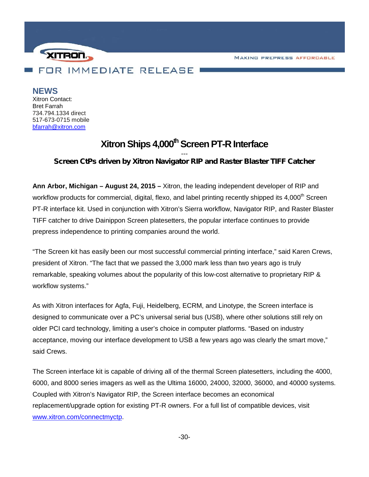**MAKING PREPRESS AFFORDABLE** 



## **NEWS**

Xitron Contact: Bret Farrah 734.794.1334 direct 517-673-0715 mobile bfarrah@xitron.com

# **XitronShips 4,000thScreen PT-R Interface**

## *--- Screen CtPs driven by Xitron Navigator RIP and Raster Blaster TIFF Catcher*

**Ann Arbor, Michigan – August 24, 2015 –** Xitron, the leading independent developer of RIP and workflow products for commercial, digital, flexo, and label printing recently shipped its 4,000<sup>th</sup> Screen PT-R interface kit. Used in conjunction with Xitron's Sierra workflow, Navigator RIP, and Raster Blaster TIFF catcher to drive Dainippon Screen platesetters, the popular interface continues to provide prepress independence to printing companies around the world.

"The Screen kit has easily been our most successful commercial printing interface," said Karen Crews, president of Xitron. "The fact that we passed the 3,000 mark less than two years ago is truly remarkable, speaking volumes about the popularity of this low-cost alternative to proprietary RIP & workflow systems."

As with Xitron interfaces for Agfa, Fuji, Heidelberg, ECRM, and Linotype, the Screen interface is designed to communicate over a PC's universal serial bus (USB), where other solutions still rely on older PCI card technology, limiting a user's choice in computer platforms. "Based on industry acceptance, moving our interface development to USB a few years ago was clearly the smart move," said Crews.

The Screen interface kit is capable of driving all of the thermal Screen platesetters, including the 4000, 6000, and 8000 series imagers as well as the Ultima 16000, 24000, 32000, 36000, and 40000 systems. Coupled with Xitron's Navigator RIP, the Screen interface becomes an economical replacement/upgrade option for existing PT-R owners. For a full list of compatible devices, visit www.xitron.com/connectmyctp.